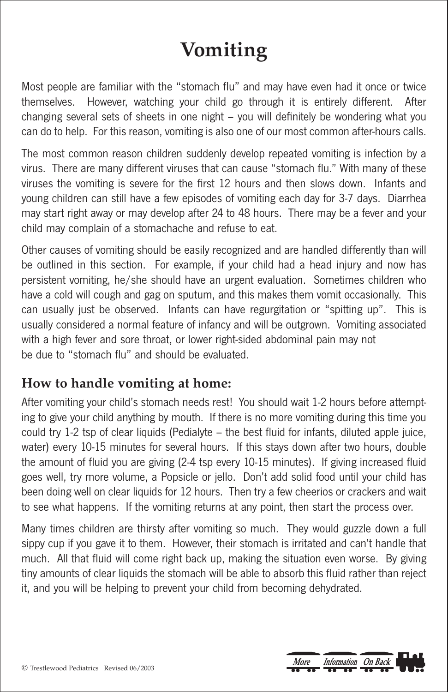## **Vomiting**

Most people are familiar with the "stomach flu" and may have even had it once or twice themselves. However, watching your child go through it is entirely different. After changing several sets of sheets in one night – you will definitely be wondering what you can do to help. For this reason, vomiting is also one of our most common after-hours calls.

The most common reason children suddenly develop repeated vomiting is infection by a virus. There are many different viruses that can cause "stomach flu." With many of these viruses the vomiting is severe for the first 12 hours and then slows down. Infants and young children can still have a few episodes of vomiting each day for 3-7 days. Diarrhea may start right away or may develop after 24 to 48 hours. There may be a fever and your child may complain of a stomachache and refuse to eat.

Other causes of vomiting should be easily recognized and are handled differently than will be outlined in this section. For example, if your child had a head injury and now has persistent vomiting, he/she should have an urgent evaluation. Sometimes children who have a cold will cough and gag on sputum, and this makes them vomit occasionally. This can usually just be observed. Infants can have regurgitation or "spitting up". This is usually considered a normal feature of infancy and will be outgrown. Vomiting associated with a high fever and sore throat, or lower right-sided abdominal pain may not be due to "stomach flu" and should be evaluated.

## **How to handle vomiting at home:**

After vomiting your child's stomach needs rest! You should wait 1-2 hours before attempting to give your child anything by mouth. If there is no more vomiting during this time you could try 1-2 tsp of clear liquids (Pedialyte – the best fluid for infants, diluted apple juice, water) every 10-15 minutes for several hours. If this stays down after two hours, double the amount of fluid you are giving (2-4 tsp every 10-15 minutes). If giving increased fluid goes well, try more volume, a Popsicle or jello. Don't add solid food until your child has been doing well on clear liquids for 12 hours. Then try a few cheerios or crackers and wait to see what happens. If the vomiting returns at any point, then start the process over.

Many times children are thirsty after vomiting so much. They would guzzle down a full sippy cup if you gave it to them. However, their stomach is irritated and can't handle that much. All that fluid will come right back up, making the situation even worse. By giving tiny amounts of clear liquids the stomach will be able to absorb this fluid rather than reject it, and you will be helping to prevent your child from becoming dehydrated.